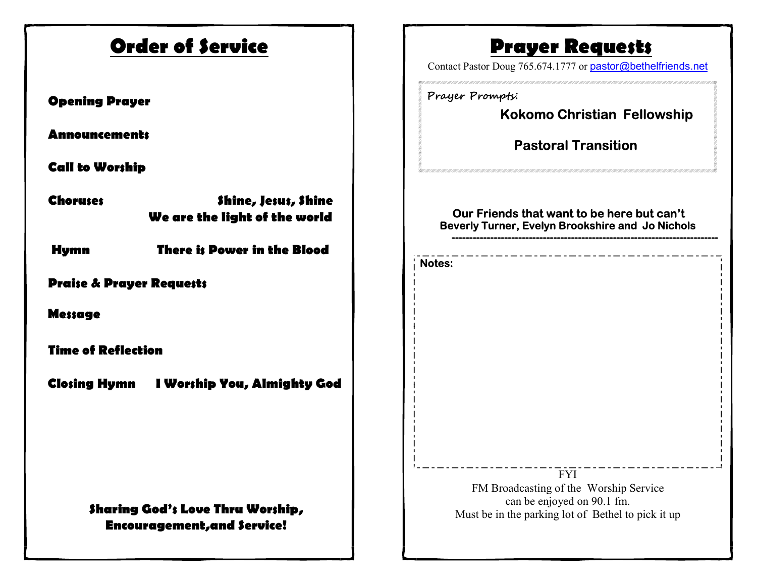| <b>Order of Service</b>                                                 | <b>Prayer Requests</b><br>Contact Pastor Doug 765.674.1777 or pastor@bethelfriends.net                                                   |
|-------------------------------------------------------------------------|------------------------------------------------------------------------------------------------------------------------------------------|
| <b>Opening Prayer</b><br><b>Announcements</b>                           | Prayer Prompts:<br><b>Kokomo Christian Fellowship</b><br><b>Pastoral Transition</b>                                                      |
| <b>Call to Worship</b>                                                  |                                                                                                                                          |
| Shine, Jesus, Shine<br><b>Choruses</b><br>We are the light of the world | Our Friends that want to be here but can't<br>Beverly Turner, Evelyn Brookshire and Jo Nichols                                           |
| There is Power in the Blood<br><b>Hymn</b>                              | <b>Notes:</b>                                                                                                                            |
| <b>Praise &amp; Prayer Requests</b>                                     |                                                                                                                                          |
| <b>Message</b>                                                          |                                                                                                                                          |
| <b>Time of Reflection</b>                                               |                                                                                                                                          |
| <b>Closing Hymn</b><br>I Worship You, Almighty God                      |                                                                                                                                          |
| Sharing God's Love Thru Worship,<br><b>Encouragement, and Service!</b>  | <b>FYI</b><br>FM Broadcasting of the Worship Service<br>can be enjoyed on 90.1 fm.<br>Must be in the parking lot of Bethel to pick it up |